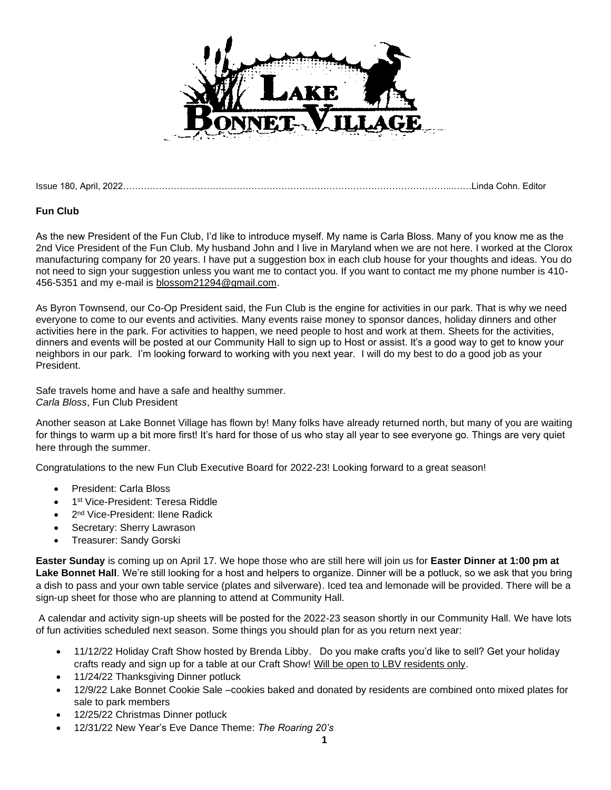

Issue 180, April, 2022………………………………………………………………………………………………...……Linda Cohn. Editor

## **Fun Club**

As the new President of the Fun Club, I'd like to introduce myself. My name is Carla Bloss. Many of you know me as the 2nd Vice President of the Fun Club. My husband John and I live in Maryland when we are not here. I worked at the Clorox manufacturing company for 20 years. I have put a suggestion box in each club house for your thoughts and ideas. You do not need to sign your suggestion unless you want me to contact you. If you want to contact me my phone number is 410- 456-5351 and my e-mail is blossom21294@gmail.com.

As Byron Townsend, our Co-Op President said, the Fun Club is the engine for activities in our park. That is why we need everyone to come to our events and activities. Many events raise money to sponsor dances, holiday dinners and other activities here in the park. For activities to happen, we need people to host and work at them. Sheets for the activities, dinners and events will be posted at our Community Hall to sign up to Host or assist. It's a good way to get to know your neighbors in our park. I'm looking forward to working with you next year. I will do my best to do a good job as your President.

Safe travels home and have a safe and healthy summer. *Carla Bloss*, Fun Club President

Another season at Lake Bonnet Village has flown by! Many folks have already returned north, but many of you are waiting for things to warm up a bit more first! It's hard for those of us who stay all year to see everyone go. Things are very quiet here through the summer.

Congratulations to the new Fun Club Executive Board for 2022-23! Looking forward to a great season!

- President: Carla Bloss
- 1<sup>st</sup> Vice-President: Teresa Riddle
- 2<sup>nd</sup> Vice-President: Ilene Radick
- Secretary: Sherry Lawrason
- Treasurer: Sandy Gorski

**Easter Sunday** is coming up on April 17. We hope those who are still here will join us for **Easter Dinner at 1:00 pm at Lake Bonnet Hall**. We're still looking for a host and helpers to organize. Dinner will be a potluck, so we ask that you bring a dish to pass and your own table service (plates and silverware). Iced tea and lemonade will be provided. There will be a sign-up sheet for those who are planning to attend at Community Hall.

A calendar and activity sign-up sheets will be posted for the 2022-23 season shortly in our Community Hall. We have lots of fun activities scheduled next season. Some things you should plan for as you return next year:

- 11/12/22 Holiday Craft Show hosted by Brenda Libby. Do you make crafts you'd like to sell? Get your holiday crafts ready and sign up for a table at our Craft Show! Will be open to LBV residents only.
- 11/24/22 Thanksgiving Dinner potluck
- 12/9/22 Lake Bonnet Cookie Sale –cookies baked and donated by residents are combined onto mixed plates for sale to park members
- 12/25/22 Christmas Dinner potluck
- 12/31/22 New Year's Eve Dance Theme: *The Roaring 20's*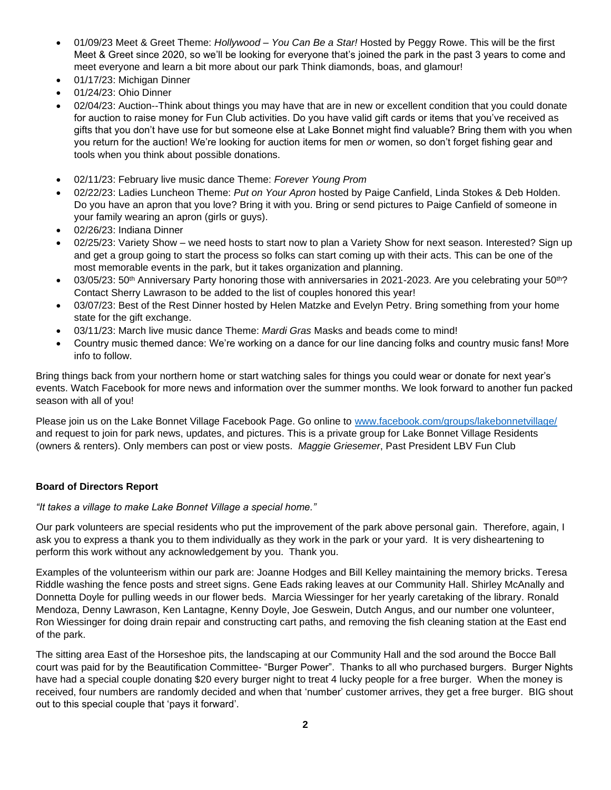- 01/09/23 Meet & Greet Theme: *Hollywood – You Can Be a Star!* Hosted by Peggy Rowe. This will be the first Meet & Greet since 2020, so we'll be looking for everyone that's joined the park in the past 3 years to come and meet everyone and learn a bit more about our park Think diamonds, boas, and glamour!
- 01/17/23: Michigan Dinner
- 01/24/23: Ohio Dinner
- 02/04/23: Auction--Think about things you may have that are in new or excellent condition that you could donate for auction to raise money for Fun Club activities. Do you have valid gift cards or items that you've received as gifts that you don't have use for but someone else at Lake Bonnet might find valuable? Bring them with you when you return for the auction! We're looking for auction items for men *or* women, so don't forget fishing gear and tools when you think about possible donations.
- 02/11/23: February live music dance Theme: *Forever Young Prom*
- 02/22/23: Ladies Luncheon Theme: *Put on Your Apron* hosted by Paige Canfield, Linda Stokes & Deb Holden. Do you have an apron that you love? Bring it with you. Bring or send pictures to Paige Canfield of someone in your family wearing an apron (girls or guys).
- 02/26/23: Indiana Dinner
- 02/25/23: Variety Show we need hosts to start now to plan a Variety Show for next season. Interested? Sign up and get a group going to start the process so folks can start coming up with their acts. This can be one of the most memorable events in the park, but it takes organization and planning.
- 03/05/23: 50<sup>th</sup> Anniversary Party honoring those with anniversaries in 2021-2023. Are you celebrating your 50<sup>th</sup>? Contact Sherry Lawrason to be added to the list of couples honored this year!
- 03/07/23: Best of the Rest Dinner hosted by Helen Matzke and Evelyn Petry. Bring something from your home state for the gift exchange.
- 03/11/23: March live music dance Theme: *Mardi Gras* Masks and beads come to mind!
- Country music themed dance: We're working on a dance for our line dancing folks and country music fans! More info to follow.

Bring things back from your northern home or start watching sales for things you could wear or donate for next year's events. Watch Facebook for more news and information over the summer months. We look forward to another fun packed season with all of you!

Please join us on the Lake Bonnet Village Facebook Page. Go online to [www.facebook.com/groups/lakebonnetvillage/](http://www.facebook.com/groups/lakebonnetvillage/) and request to join for park news, updates, and pictures. This is a private group for Lake Bonnet Village Residents (owners & renters). Only members can post or view posts. *Maggie Griesemer*, Past President LBV Fun Club

## **Board of Directors Report**

*"It takes a village to make Lake Bonnet Village a special home."*

Our park volunteers are special residents who put the improvement of the park above personal gain. Therefore, again, I ask you to express a thank you to them individually as they work in the park or your yard. It is very disheartening to perform this work without any acknowledgement by you. Thank you.

Examples of the volunteerism within our park are: Joanne Hodges and Bill Kelley maintaining the memory bricks. Teresa Riddle washing the fence posts and street signs. Gene Eads raking leaves at our Community Hall. Shirley McAnally and Donnetta Doyle for pulling weeds in our flower beds. Marcia Wiessinger for her yearly caretaking of the library. Ronald Mendoza, Denny Lawrason, Ken Lantagne, Kenny Doyle, Joe Geswein, Dutch Angus, and our number one volunteer, Ron Wiessinger for doing drain repair and constructing cart paths, and removing the fish cleaning station at the East end of the park.

The sitting area East of the Horseshoe pits, the landscaping at our Community Hall and the sod around the Bocce Ball court was paid for by the Beautification Committee- "Burger Power". Thanks to all who purchased burgers. Burger Nights have had a special couple donating \$20 every burger night to treat 4 lucky people for a free burger. When the money is received, four numbers are randomly decided and when that 'number' customer arrives, they get a free burger. BIG shout out to this special couple that 'pays it forward'.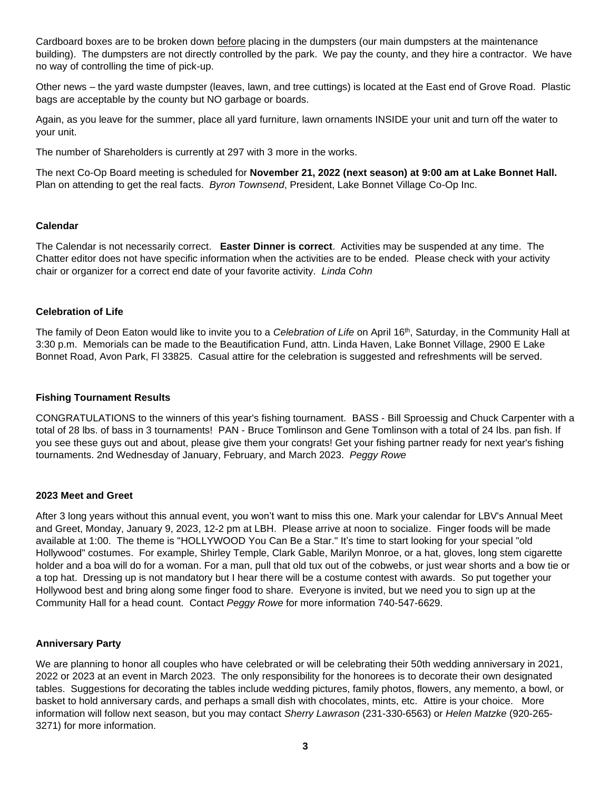Cardboard boxes are to be broken down before placing in the dumpsters (our main dumpsters at the maintenance building). The dumpsters are not directly controlled by the park. We pay the county, and they hire a contractor. We have no way of controlling the time of pick-up.

Other news – the yard waste dumpster (leaves, lawn, and tree cuttings) is located at the East end of Grove Road. Plastic bags are acceptable by the county but NO garbage or boards.

Again, as you leave for the summer, place all yard furniture, lawn ornaments INSIDE your unit and turn off the water to your unit.

The number of Shareholders is currently at 297 with 3 more in the works.

The next Co-Op Board meeting is scheduled for **November 21, 2022 (next season) at 9:00 am at Lake Bonnet Hall.**  Plan on attending to get the real facts. *Byron Townsend*, President, Lake Bonnet Village Co-Op Inc.

#### **Calendar**

The Calendar is not necessarily correct. **Easter Dinner is correct**. Activities may be suspended at any time. The Chatter editor does not have specific information when the activities are to be ended. Please check with your activity chair or organizer for a correct end date of your favorite activity. *Linda Cohn*

## **Celebration of Life**

The family of Deon Eaton would like to invite you to a *Celebration of Life* on April 16th, Saturday, in the Community Hall at 3:30 p.m. Memorials can be made to the Beautification Fund, attn. Linda Haven, Lake Bonnet Village, 2900 E Lake Bonnet Road, Avon Park, Fl 33825. Casual attire for the celebration is suggested and refreshments will be served.

## **Fishing Tournament Results**

CONGRATULATIONS to the winners of this year's fishing tournament. BASS - Bill Sproessig and Chuck Carpenter with a total of 28 lbs. of bass in 3 tournaments! PAN - Bruce Tomlinson and Gene Tomlinson with a total of 24 lbs. pan fish. If you see these guys out and about, please give them your congrats! Get your fishing partner ready for next year's fishing tournaments. 2nd Wednesday of January, February, and March 2023. *Peggy Rowe*

## **2023 Meet and Greet**

After 3 long years without this annual event, you won't want to miss this one. Mark your calendar for LBV's Annual Meet and Greet, Monday, January 9, 2023, 12-2 pm at LBH. Please arrive at noon to socialize. Finger foods will be made available at 1:00. The theme is "HOLLYWOOD You Can Be a Star." It's time to start looking for your special "old Hollywood" costumes. For example, Shirley Temple, Clark Gable, Marilyn Monroe, or a hat, gloves, long stem cigarette holder and a boa will do for a woman. For a man, pull that old tux out of the cobwebs, or just wear shorts and a bow tie or a top hat. Dressing up is not mandatory but I hear there will be a costume contest with awards. So put together your Hollywood best and bring along some finger food to share. Everyone is invited, but we need you to sign up at the Community Hall for a head count. Contact *Peggy Rowe* for more information 740-547-6629.

## **Anniversary Party**

We are planning to honor all couples who have celebrated or will be celebrating their 50th wedding anniversary in 2021, 2022 or 2023 at an event in March 2023. The only responsibility for the honorees is to decorate their own designated tables. Suggestions for decorating the tables include wedding pictures, family photos, flowers, any memento, a bowl, or basket to hold anniversary cards, and perhaps a small dish with chocolates, mints, etc. Attire is your choice. More information will follow next season, but you may contact *Sherry Lawrason* (231-330-6563) or *Helen Matzke* (920-265- 3271) for more information.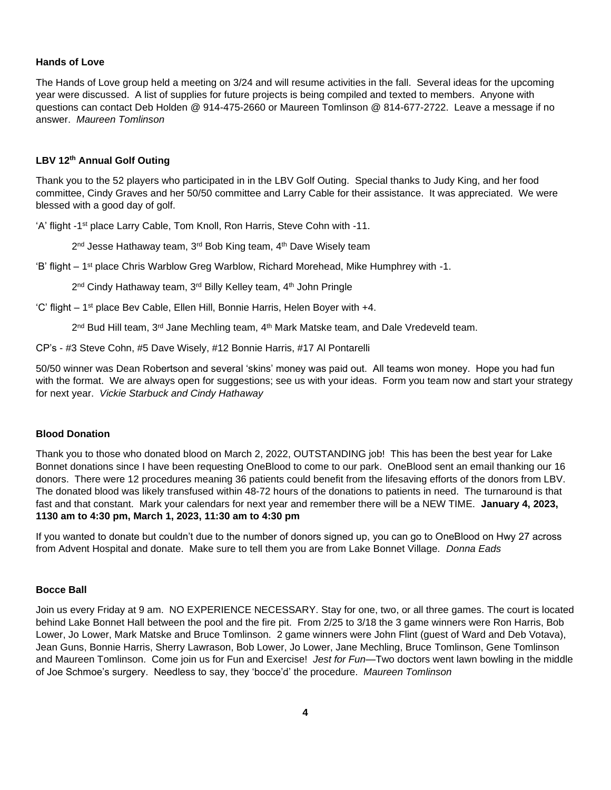## **Hands of Love**

The Hands of Love group held a meeting on 3/24 and will resume activities in the fall. Several ideas for the upcoming year were discussed. A list of supplies for future projects is being compiled and texted to members. Anyone with questions can contact Deb Holden @ 914-475-2660 or Maureen Tomlinson @ 814-677-2722. Leave a message if no answer. *Maureen Tomlinson*

## **LBV 12th Annual Golf Outing**

Thank you to the 52 players who participated in in the LBV Golf Outing. Special thanks to Judy King, and her food committee, Cindy Graves and her 50/50 committee and Larry Cable for their assistance. It was appreciated. We were blessed with a good day of golf.

'A' flight -1<sup>st</sup> place Larry Cable, Tom Knoll, Ron Harris, Steve Cohn with -11.

2<sup>nd</sup> Jesse Hathaway team, 3<sup>rd</sup> Bob King team, 4<sup>th</sup> Dave Wisely team

'B' flight – 1st place Chris Warblow Greg Warblow, Richard Morehead, Mike Humphrey with -1.

2<sup>nd</sup> Cindy Hathaway team, 3<sup>rd</sup> Billy Kelley team, 4<sup>th</sup> John Pringle

'C' flight - 1<sup>st</sup> place Bev Cable, Ellen Hill, Bonnie Harris, Helen Boyer with +4.

2<sup>nd</sup> Bud Hill team, 3<sup>rd</sup> Jane Mechling team, 4<sup>th</sup> Mark Matske team, and Dale Vredeveld team.

CP's - #3 Steve Cohn, #5 Dave Wisely, #12 Bonnie Harris, #17 Al Pontarelli

50/50 winner was Dean Robertson and several 'skins' money was paid out. All teams won money. Hope you had fun with the format. We are always open for suggestions; see us with your ideas. Form you team now and start your strategy for next year. *Vickie Starbuck and Cindy Hathaway*

#### **Blood Donation**

Thank you to those who donated blood on March 2, 2022, OUTSTANDING job! This has been the best year for Lake Bonnet donations since I have been requesting OneBlood to come to our park. OneBlood sent an email thanking our 16 donors. There were 12 procedures meaning 36 patients could benefit from the lifesaving efforts of the donors from LBV. The donated blood was likely transfused within 48-72 hours of the donations to patients in need. The turnaround is that fast and that constant. Mark your calendars for next year and remember there will be a NEW TIME. **January 4, 2023, 1130 am to 4:30 pm, March 1, 2023, 11:30 am to 4:30 pm**

If you wanted to donate but couldn't due to the number of donors signed up, you can go to OneBlood on Hwy 27 across from Advent Hospital and donate. Make sure to tell them you are from Lake Bonnet Village. *Donna Eads*

#### **Bocce Ball**

Join us every Friday at 9 am. NO EXPERIENCE NECESSARY. Stay for one, two, or all three games. The court is located behind Lake Bonnet Hall between the pool and the fire pit. From 2/25 to 3/18 the 3 game winners were Ron Harris, Bob Lower, Jo Lower, Mark Matske and Bruce Tomlinson. 2 game winners were John Flint (guest of Ward and Deb Votava), Jean Guns, Bonnie Harris, Sherry Lawrason, Bob Lower, Jo Lower, Jane Mechling, Bruce Tomlinson, Gene Tomlinson and Maureen Tomlinson. Come join us for Fun and Exercise! *Jest for Fun*—Two doctors went lawn bowling in the middle of Joe Schmoe's surgery. Needless to say, they 'bocce'd' the procedure. *Maureen Tomlinson*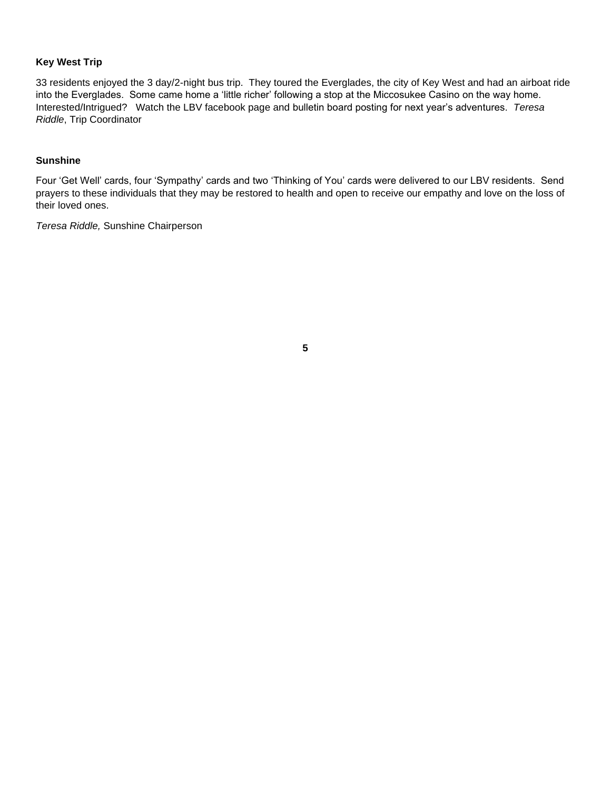## **Key West Trip**

33 residents enjoyed the 3 day/2-night bus trip. They toured the Everglades, the city of Key West and had an airboat ride into the Everglades. Some came home a 'little richer' following a stop at the Miccosukee Casino on the way home. Interested/Intrigued? Watch the LBV facebook page and bulletin board posting for next year's adventures. *Teresa Riddle*, Trip Coordinator

## **Sunshine**

Four 'Get Well' cards, four 'Sympathy' cards and two 'Thinking of You' cards were delivered to our LBV residents. Send prayers to these individuals that they may be restored to health and open to receive our empathy and love on the loss of their loved ones.

*Teresa Riddle,* Sunshine Chairperson

**5**